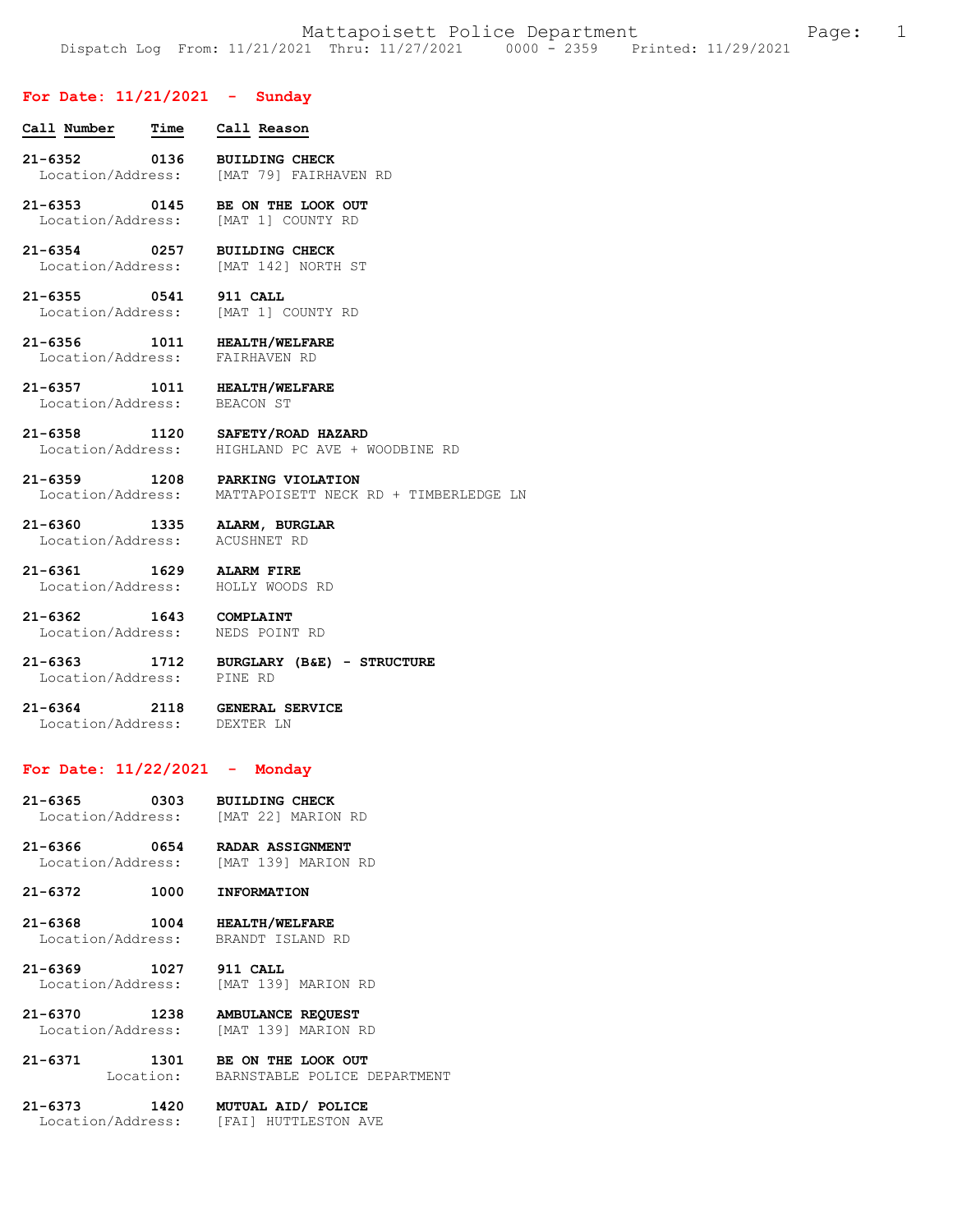### **For Date: 11/21/2021 - Sunday**

| Call Number                      | Time | Call Reason                                    |
|----------------------------------|------|------------------------------------------------|
| $21 - 6352$<br>Location/Address: | 0136 | <b>BUILDING CHECK</b><br>[MAT 79] FAIRHAVEN RD |
| $21 - 6353$<br>Location/Address: | 0145 | BE ON THE LOOK OUT<br>MAT 11 COUNTY RD         |
| $21 - 6354$<br>Location/Address: | 0257 | <b>BUILDING CHECK</b><br>[MAT 142] NORTH ST    |
|                                  |      |                                                |

**21-6355 0541 911 CALL**  Location/Address:

**21-6356 1011 HEALTH/WELFARE**  Location/Address: FAIRHAVEN RD

**21-6357 1011 HEALTH/WELFARE**  Location/Address: BEACON ST

**21-6358 1120 SAFETY/ROAD HAZARD**  Location/Address: HIGHLAND PC AVE + WOODBINE RD

**21-6359 1208 PARKING VIOLATION**  Location/Address: MATTAPOISETT NECK RD + TIMBERLEDGE LN

**21-6360 1335 ALARM, BURGLAR**  Location/Address: ACUSHNET RD

**21-6361 1629 ALARM FIRE**  Location/Address: HOLLY WOODS RD

**21-6362 1643 COMPLAINT** 

Location/Address: NEDS POINT RD

**21-6363 1712 BURGLARY (B&E) - STRUCTURE**  Location/Address:

**21-6364 2118 GENERAL SERVICE**  Location/Address: DEXTER LN

# **For Date: 11/22/2021 - Monday**

- **21-6365 0303 BUILDING CHECK**  Location/Address: [MAT 22] MARION RD
- **21-6366 0654 RADAR ASSIGNMENT**  [MAT 139] MARION RD
- **21-6372 1000 INFORMATION**

**21-6368 1004 HEALTH/WELFARE**  Location/Address:

**21-6369 1027 911 CALL**  Location/Address: [MAT 139] MARION RD

**21-6370 1238 AMBULANCE REQUEST**  Location/Address: [MAT 139] MARION RD

**21-6371 1301 BE ON THE LOOK OUT**  Location: BARNSTABLE POLICE DEPARTMENT

**21-6373 1420 MUTUAL AID/ POLICE**  Location/Address: [FAI] HUTTLESTON AVE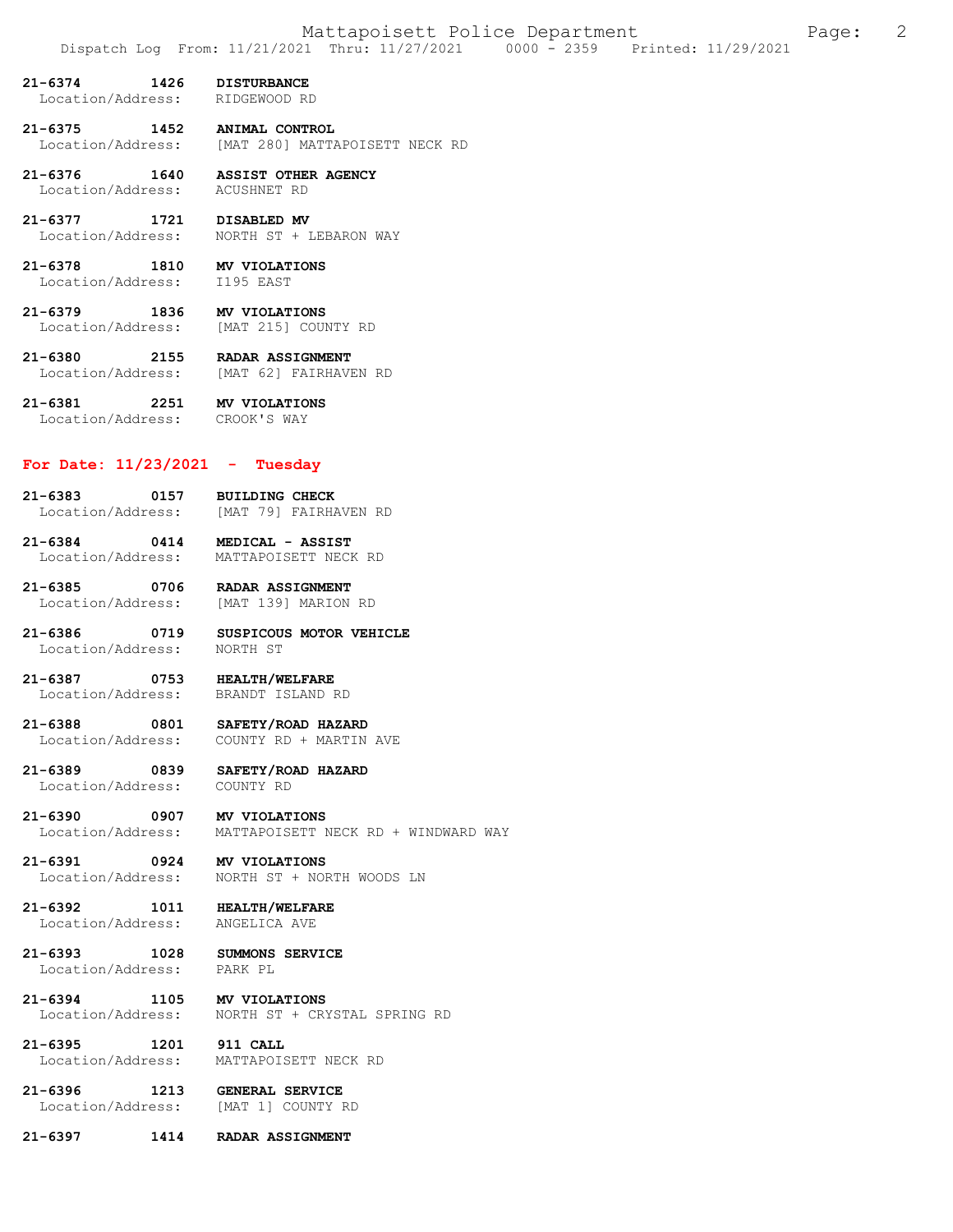- **21-6374 1426 DISTURBANCE**  Location/Address:
- **21-6375 1452 ANIMAL CONTROL**  [MAT 280] MATTAPOISETT NECK RD
- **21-6376 1640 ASSIST OTHER AGENCY**  Location/Address: ACUSHNET RD
- **21-6377 1721 DISABLED MV**  Location/Address: NORTH ST + LEBARON WAY
- **21-6378 1810 MV VIOLATIONS**  Location/Address:
- **21-6379 1836 MV VIOLATIONS**  Location/Address:
- **21-6380 2155 RADAR ASSIGNMENT**  Location/Address: [MAT 62] FAIRHAVEN RD
- **21-6381 2251 MV VIOLATIONS**  Location/Address: CROOK'S WAY

## **For Date: 11/23/2021 - Tuesday**

- **21-6383 0157 BUILDING CHECK**  [MAT 79] FAIRHAVEN RD
- **21-6384 0414 MEDICAL ASSIST**  MATTAPOISETT NECK RD
- **21-6385 0706 RADAR ASSIGNMENT**  Location/Address: [MAT 139] MARION RD
- **21-6386 0719 SUSPICOUS MOTOR VEHICLE**  Location/Address:
- **21-6387 0753 HEALTH/WELFARE**  BRANDT ISLAND RD
- **21-6388 0801 SAFETY/ROAD HAZARD**  COUNTY RD + MARTIN AVE
- **21-6389 0839 SAFETY/ROAD HAZARD**  Location/Address:
- **21-6390 0907 MV VIOLATIONS**  Location/Address: MATTAPOISETT NECK RD + WINDWARD WAY
- **21-6391 0924 MV VIOLATIONS**  Location/Address: NORTH ST + NORTH WOODS LN
- **21-6392 1011 HEALTH/WELFARE**  Location/Address:
- **21-6393 1028 SUMMONS SERVICE**  Location/Address:
- **21-6394 1105 MV VIOLATIONS**  NORTH ST + CRYSTAL SPRING RD
- **21-6395 1201 911 CALL**  Location/Address: MATTAPOISETT NECK RD
- **21-6396 1213 GENERAL SERVICE**  Location/Address:
- **21-6397 1414 RADAR ASSIGNMENT**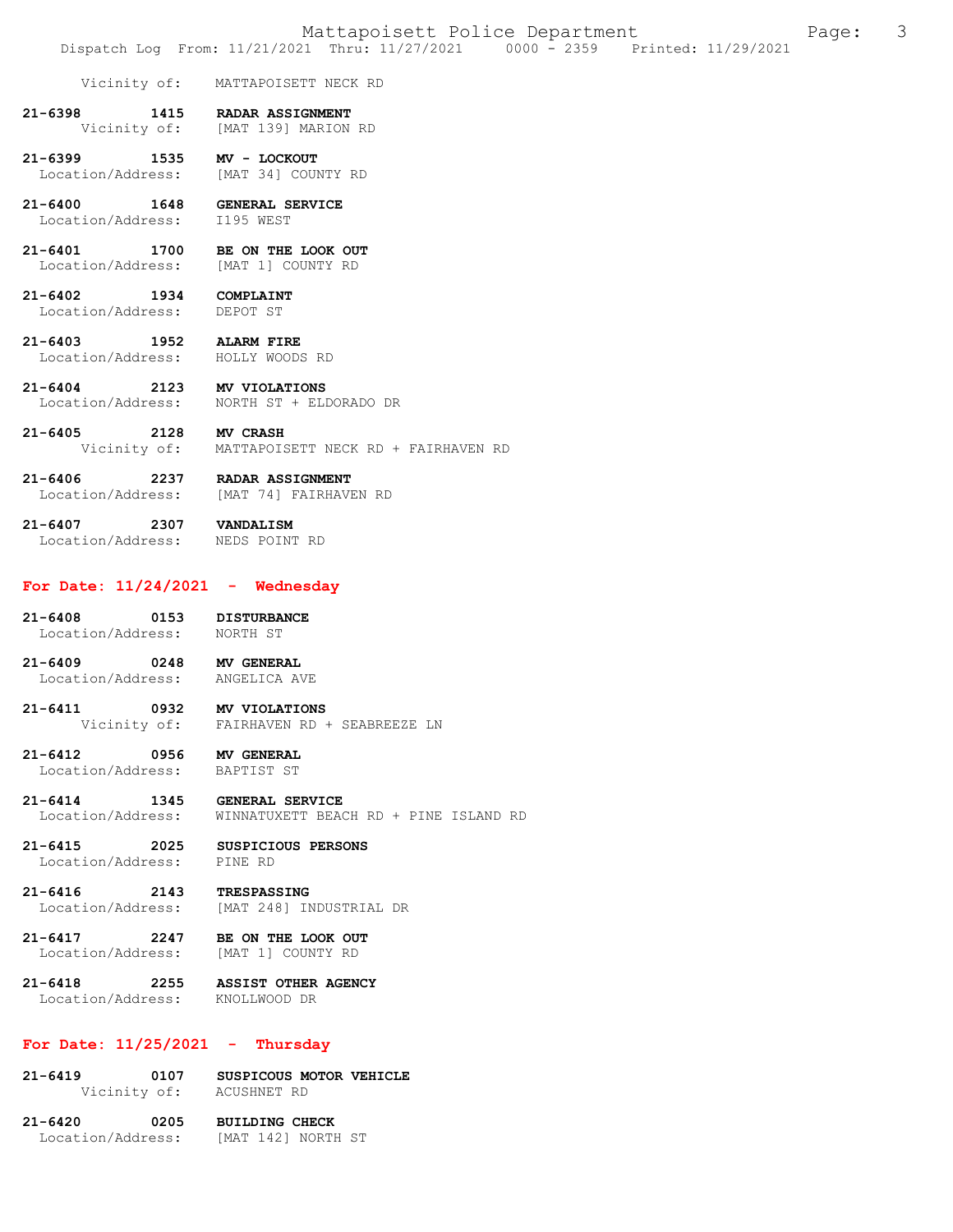Vicinity of: MATTAPOISETT NECK RD

**21-6398 1415 RADAR ASSIGNMENT**  [MAT 139] MARION RD

**21-6399 1535 MV - LOCKOUT**  Location/Address: [MAT 34] COUNTY RD

- **21-6400 1648 GENERAL SERVICE**  Location/Address:
- **21-6401 1700 BE ON THE LOOK OUT**  Location/Address: [MAT 1] COUNTY RD

### **21-6402 1934 COMPLAINT**  Location/Address: DEPOT ST

- **21-6403 1952 ALARM FIRE**  Location/Address: HOLLY WOODS RD
- **21-6404 2123 MV VIOLATIONS**  Location/Address: NORTH ST + ELDORADO DR
- **21-6405 2128 MV CRASH**  Vicinity of: MATTAPOISETT NECK RD + FAIRHAVEN RD

**21-6406 2237 RADAR ASSIGNMENT**  Location/Address: [MAT 74] FAIRHAVEN RD

21-6407 2307 **VANDALISM**<br>Location/Address: NEDS POINT RD Location/Address:

### **For Date: 11/24/2021 - Wednesday**

- **21-6408 0153 DISTURBANCE**  Location/Address: NORTH ST
- **21-6409 0248 MV GENERAL**  Location/Address:
- **21-6411 0932 MV VIOLATIONS**  Vicinity of: FAIRHAVEN RD + SEABREEZE LN

#### **21-6412 0956 MV GENERAL**  Location/Address:

- **21-6414 1345 GENERAL SERVICE**  Location/Address: WINNATUXETT BEACH RD + PINE ISLAND RD
- **21-6415 2025 SUSPICIOUS PERSONS**  Location/Address: PINE RD

**21-6416 2143 TRESPASSING**  Location/Address: [MAT 248] INDUSTRIAL DR

## **21-6417 2247 BE ON THE LOOK OUT**  Location/Address: [MAT 1] COUNTY RD

## **21-6418 2255 ASSIST OTHER AGENCY**  Location/Address:

# **For Date: 11/25/2021 - Thursday**

21-6419 0107 SUSPICOUS MOTOR VEHICLE<br>Vicinity of: ACUSHNET RD Vicinity of:

**21-6420 0205 BUILDING CHECK**  Location/Address: [MAT 142] NORTH ST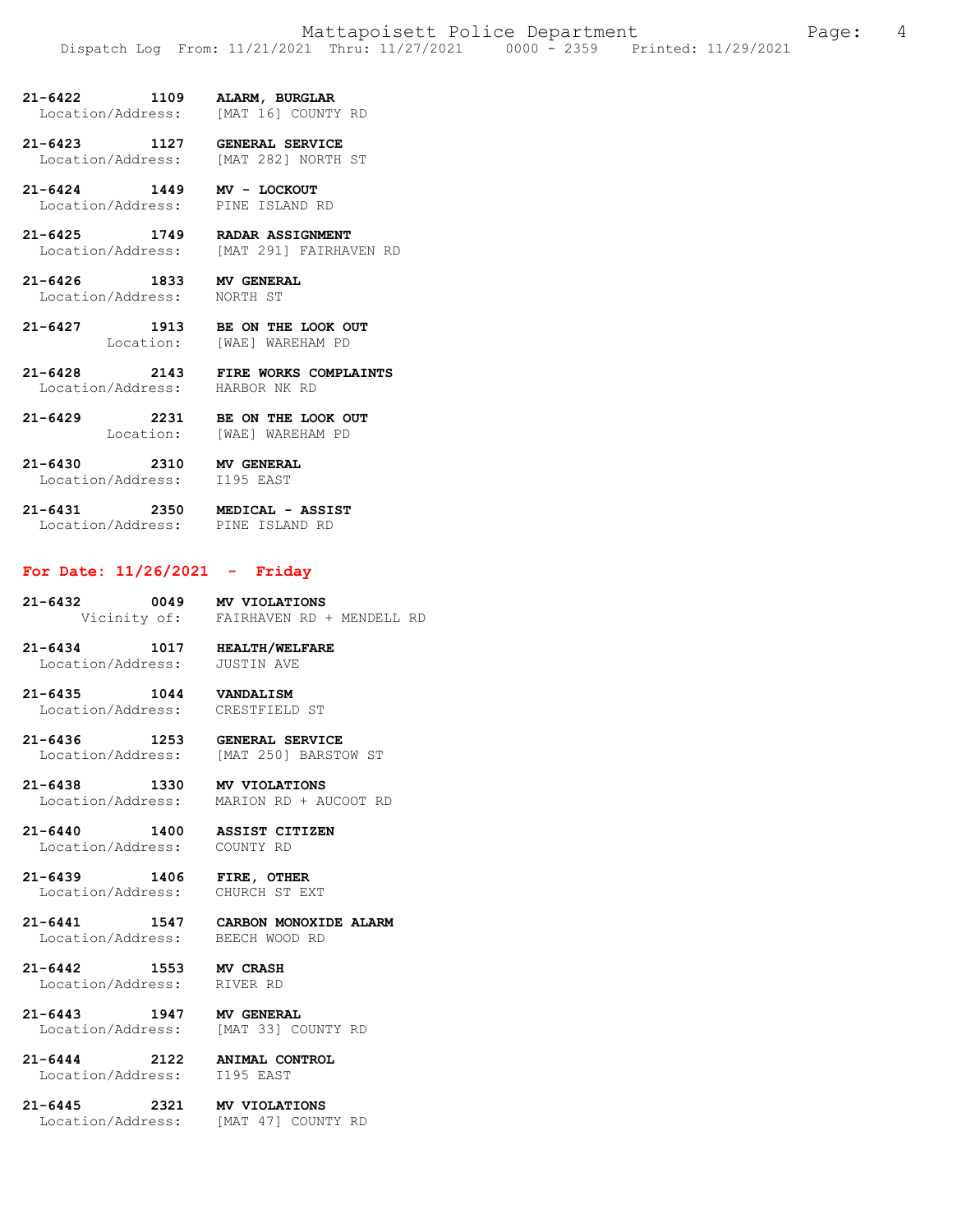### **21-6422 1109 ALARM, BURGLAR**  Location/Address:

**21-6423 1127 GENERAL SERVICE**  Location/Address: [MAT 282] NORTH ST

**21-6424 1449 MV - LOCKOUT**  Location/Address:

**21-6425 1749 RADAR ASSIGNMENT**  Location/Address: [MAT 291] FAIRHAVEN RD

**21-6426 1833 MV GENERAL**  Location/Address: NORTH ST

**21-6427 1913 BE ON THE LOOK OUT**  Location: [WAE] WAREHAM PD

**21-6428 2143 FIRE WORKS COMPLAINTS**  Location/Address:

**21-6429 2231 BE ON THE LOOK OUT**  Location: [WAE] WAREHAM PD

**21-6430 2310 MV GENERAL**  Location/Address: I195 EAST

**21-6431 2350 MEDICAL - ASSIST**  Location/Address: PINE ISLAND RD

## **For Date: 11/26/2021 - Friday**

**21-6432 0049 MV VIOLATIONS**<br>Vicinity of: FAIRHAVEN RD FAIRHAVEN RD + MENDELL RD

**21-6434 1017 HEALTH/WELFARE**  Location/Address: JUSTIN AVE

**21-6435 1044 VANDALISM**  Location/Address: CRESTFIELD ST

**21-6436 1253 GENERAL SERVICE** 

[MAT 250] BARSTOW ST

**21-6438 1330 MV VIOLATIONS**  Location/Address: MARION RD + AUCOOT RD

**21-6440 1400 ASSIST CITIZEN**  Location/Address:

**21-6439 1406 FIRE, OTHER**  Location/Address: CHURCH ST EXT

**21-6441 1547 CARBON MONOXIDE ALARM**  Location/Address: BEECH WOOD RD

**21-6442 1553 MV CRASH** 

**21-6443 1947 MV GENERAL**  Location/Address: [MAT 33] COUNTY RD

**21-6444 2122 ANIMAL CONTROL**  Location/Address:

Location/Address:

**21-6445 2321 MV VIOLATIONS** 

Location/Address: [MAT 47] COUNTY RD